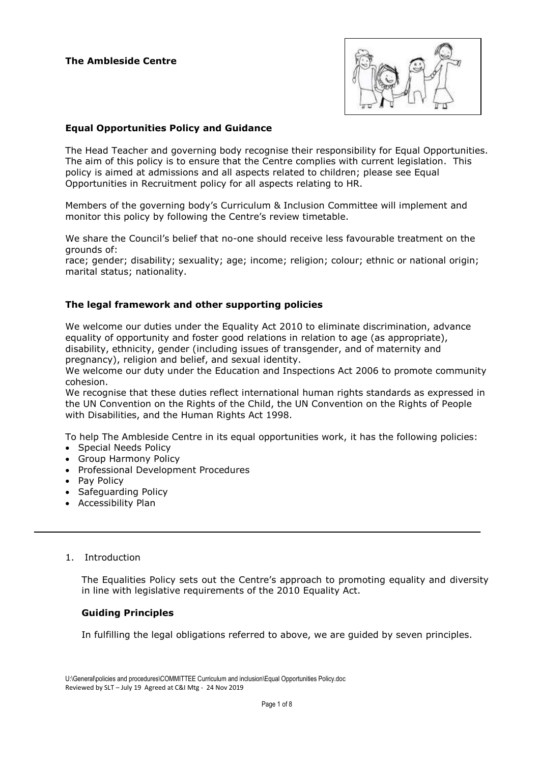

## **Equal Opportunities Policy and Guidance**

The Head Teacher and governing body recognise their responsibility for Equal Opportunities. The aim of this policy is to ensure that the Centre complies with current legislation. This policy is aimed at admissions and all aspects related to children; please see Equal Opportunities in Recruitment policy for all aspects relating to HR.

Members of the governing body's Curriculum & Inclusion Committee will implement and monitor this policy by following the Centre's review timetable.

We share the Council's belief that no-one should receive less favourable treatment on the grounds of:

race; gender; disability; sexuality; age; income; religion; colour; ethnic or national origin; marital status; nationality.

### **The legal framework and other supporting policies**

We welcome our duties under the Equality Act 2010 to eliminate discrimination, advance equality of opportunity and foster good relations in relation to age (as appropriate), disability, ethnicity, gender (including issues of transgender, and of maternity and pregnancy), religion and belief, and sexual identity.

We welcome our duty under the Education and Inspections Act 2006 to promote community cohesion.

We recognise that these duties reflect international human rights standards as expressed in the UN Convention on the Rights of the Child, the UN Convention on the Rights of People with Disabilities, and the Human Rights Act 1998.

To help The Ambleside Centre in its equal opportunities work, it has the following policies:

- Special Needs Policy
- Group Harmony Policy
- Professional Development Procedures
- Pay Policy
- Safeguarding Policy
- Accessibility Plan

### 1. Introduction

The Equalities Policy sets out the Centre's approach to promoting equality and diversity in line with legislative requirements of the 2010 Equality Act.

### **Guiding Principles**

In fulfilling the legal obligations referred to above, we are guided by seven principles.

U:\General\policies and procedures\COMMITTEE Curriculum and inclusion\Equal Opportunities Policy.doc Reviewed by SLT – July 19 Agreed at C&I Mtg - 24 Nov 2019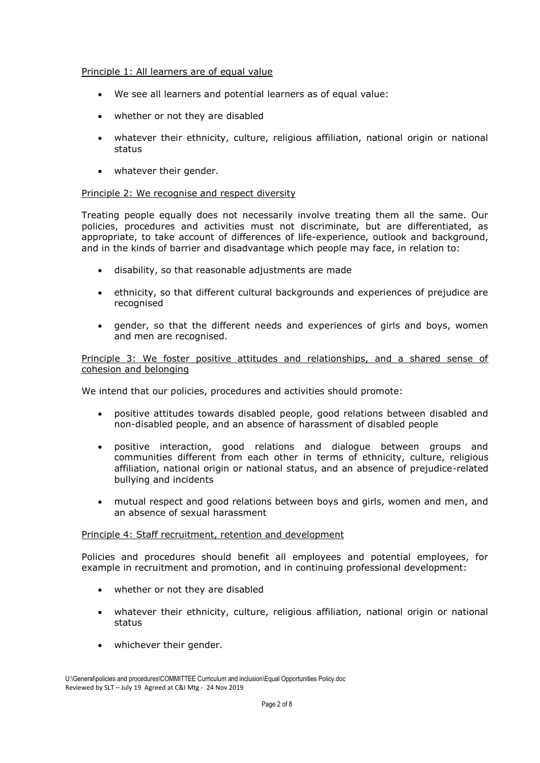### Principle 1: All learners are of equal value

- We see all learners and potential learners as of equal value:
- whether or not they are disabled
- whatever their ethnicity, culture, religious affiliation, national origin or national status
- whatever their gender.

### Principle 2: We recognise and respect diversity

Treating people equally does not necessarily involve treating them all the same. Our policies, procedures and activities must not discriminate, but are differentiated, as appropriate, to take account of differences of life-experience, outlook and background, and in the kinds of barrier and disadvantage which people may face, in relation to:

- disability, so that reasonable adjustments are made
- ethnicity, so that different cultural backgrounds and experiences of prejudice are recognised
- gender, so that the different needs and experiences of girls and boys, women and men are recognised.

Principle 3: We foster positive attitudes and relationships, and a shared sense of cohesion and belonging

We intend that our policies, procedures and activities should promote:

- positive attitudes towards disabled people, good relations between disabled and non-disabled people, and an absence of harassment of disabled people
- positive interaction, good relations and dialogue between groups and communities different from each other in terms of ethnicity, culture, religious affiliation, national origin or national status, and an absence of prejudice-related bullying and incidents
- mutual respect and good relations between boys and girls, women and men, and an absence of sexual harassment

# Principle 4: Staff recruitment, retention and development

Policies and procedures should benefit all employees and potential employees, for example in recruitment and promotion, and in continuing professional development:

- whether or not they are disabled
- whatever their ethnicity, culture, religious affiliation, national origin or national status
- whichever their gender.

U:\General\policies and procedures\COMMITTEE Curriculum and inclusion\Equal Opportunities Policy.doc Reviewed by SLT – July 19 Agreed at C&I Mtg - 24 Nov 2019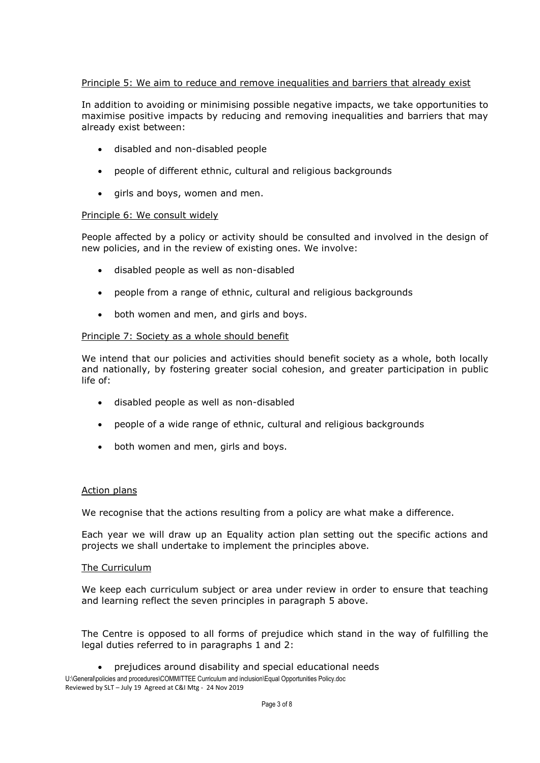# Principle 5: We aim to reduce and remove inequalities and barriers that already exist

In addition to avoiding or minimising possible negative impacts, we take opportunities to maximise positive impacts by reducing and removing inequalities and barriers that may already exist between:

- disabled and non-disabled people
- people of different ethnic, cultural and religious backgrounds
- girls and boys, women and men.

### Principle 6: We consult widely

People affected by a policy or activity should be consulted and involved in the design of new policies, and in the review of existing ones. We involve:

- disabled people as well as non-disabled
- people from a range of ethnic, cultural and religious backgrounds
- both women and men, and girls and boys.

### Principle 7: Society as a whole should benefit

We intend that our policies and activities should benefit society as a whole, both locally and nationally, by fostering greater social cohesion, and greater participation in public life of:

- disabled people as well as non-disabled
- people of a wide range of ethnic, cultural and religious backgrounds
- both women and men, girls and boys.

### Action plans

We recognise that the actions resulting from a policy are what make a difference.

Each year we will draw up an Equality action plan setting out the specific actions and projects we shall undertake to implement the principles above.

#### The Curriculum

We keep each curriculum subject or area under review in order to ensure that teaching and learning reflect the seven principles in paragraph 5 above.

The Centre is opposed to all forms of prejudice which stand in the way of fulfilling the legal duties referred to in paragraphs 1 and 2:

prejudices around disability and special educational needs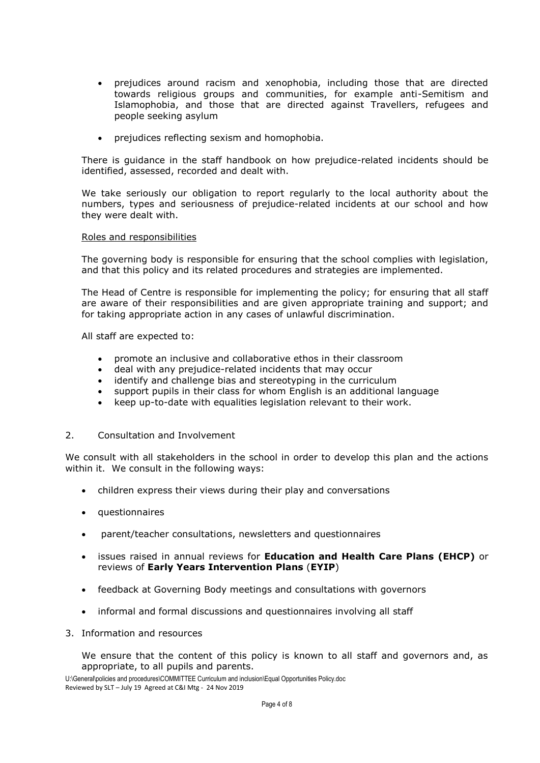- prejudices around racism and xenophobia, including those that are directed towards religious groups and communities, for example anti-Semitism and Islamophobia, and those that are directed against Travellers, refugees and people seeking asylum
- prejudices reflecting sexism and homophobia.

There is guidance in the staff handbook on how prejudice-related incidents should be identified, assessed, recorded and dealt with.

We take seriously our obligation to report regularly to the local authority about the numbers, types and seriousness of prejudice-related incidents at our school and how they were dealt with.

# Roles and responsibilities

The governing body is responsible for ensuring that the school complies with legislation, and that this policy and its related procedures and strategies are implemented.

The Head of Centre is responsible for implementing the policy; for ensuring that all staff are aware of their responsibilities and are given appropriate training and support; and for taking appropriate action in any cases of unlawful discrimination.

All staff are expected to:

- promote an inclusive and collaborative ethos in their classroom
- 
- deal with any prejudice-related incidents that may occur<br>• identify and challenge bias and stereotyning in the curric identify and challenge bias and stereotyping in the curriculum
- support pupils in their class for whom English is an additional language
- keep up-to-date with equalities legislation relevant to their work.

### 2. Consultation and Involvement

We consult with all stakeholders in the school in order to develop this plan and the actions within it. We consult in the following ways:

- children express their views during their play and conversations
- questionnaires
- parent/teacher consultations, newsletters and questionnaires
- issues raised in annual reviews for **Education and Health Care Plans (EHCP)** or reviews of **Early Years Intervention Plans** (**EYIP**)
- feedback at Governing Body meetings and consultations with governors
- informal and formal discussions and questionnaires involving all staff
- 3. Information and resources

We ensure that the content of this policy is known to all staff and governors and, as appropriate, to all pupils and parents.

U:\General\policies and procedures\COMMITTEE Curriculum and inclusion\Equal Opportunities Policy.doc Reviewed by SLT – July 19 Agreed at C&I Mtg - 24 Nov 2019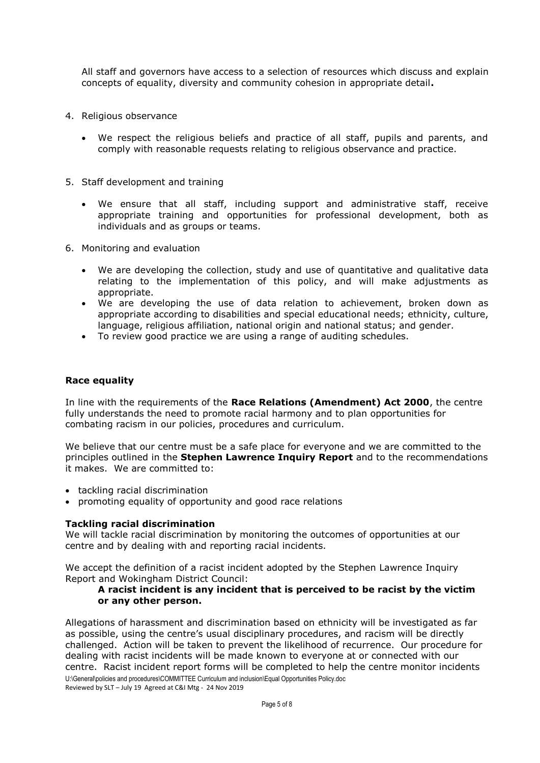All staff and governors have access to a selection of resources which discuss and explain concepts of equality, diversity and community cohesion in appropriate detail**.**

- 4. Religious observance
	- We respect the religious beliefs and practice of all staff, pupils and parents, and comply with reasonable requests relating to religious observance and practice.
- 5. Staff development and training
	- We ensure that all staff, including support and administrative staff, receive appropriate training and opportunities for professional development, both as individuals and as groups or teams.
- 6. Monitoring and evaluation
	- We are developing the collection, study and use of quantitative and qualitative data relating to the implementation of this policy, and will make adjustments as appropriate.
	- We are developing the use of data relation to achievement, broken down as appropriate according to disabilities and special educational needs; ethnicity, culture, language, religious affiliation, national origin and national status; and gender.
	- To review good practice we are using a range of auditing schedules.

### **Race equality**

In line with the requirements of the **Race Relations (Amendment) Act 2000**, the centre fully understands the need to promote racial harmony and to plan opportunities for combating racism in our policies, procedures and curriculum.

We believe that our centre must be a safe place for everyone and we are committed to the principles outlined in the **Stephen Lawrence Inquiry Report** and to the recommendations it makes. We are committed to:

- tackling racial discrimination
- promoting equality of opportunity and good race relations

### **Tackling racial discrimination**

We will tackle racial discrimination by monitoring the outcomes of opportunities at our centre and by dealing with and reporting racial incidents.

We accept the definition of a racist incident adopted by the Stephen Lawrence Inquiry Report and Wokingham District Council:

### **A racist incident is any incident that is perceived to be racist by the victim or any other person.**

U:\General\policies and procedures\COMMITTEE Curriculum and inclusion\Equal Opportunities Policy.doc Reviewed by SLT – July 19 Agreed at C&I Mtg - 24 Nov 2019 Allegations of harassment and discrimination based on ethnicity will be investigated as far as possible, using the centre's usual disciplinary procedures, and racism will be directly challenged. Action will be taken to prevent the likelihood of recurrence. Our procedure for dealing with racist incidents will be made known to everyone at or connected with our centre. Racist incident report forms will be completed to help the centre monitor incidents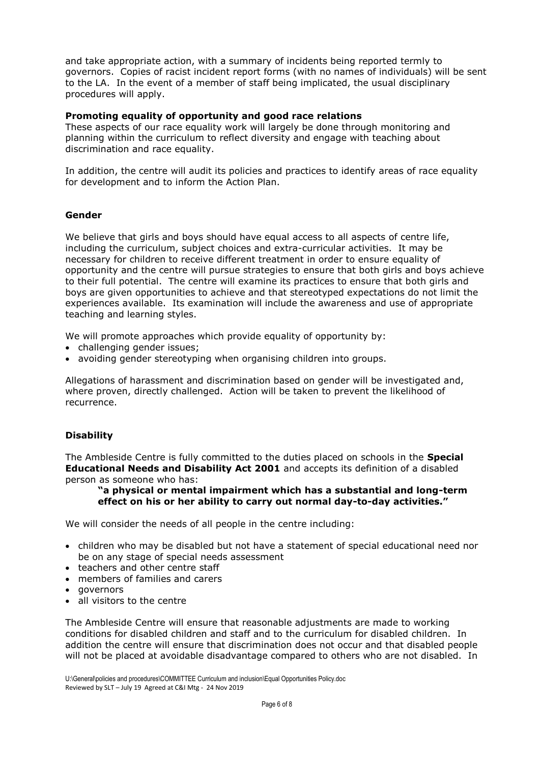and take appropriate action, with a summary of incidents being reported termly to governors. Copies of racist incident report forms (with no names of individuals) will be sent to the LA. In the event of a member of staff being implicated, the usual disciplinary procedures will apply.

## **Promoting equality of opportunity and good race relations**

These aspects of our race equality work will largely be done through monitoring and planning within the curriculum to reflect diversity and engage with teaching about discrimination and race equality.

In addition, the centre will audit its policies and practices to identify areas of race equality for development and to inform the Action Plan.

# **Gender**

We believe that girls and boys should have equal access to all aspects of centre life, including the curriculum, subject choices and extra-curricular activities. It may be necessary for children to receive different treatment in order to ensure equality of opportunity and the centre will pursue strategies to ensure that both girls and boys achieve to their full potential. The centre will examine its practices to ensure that both girls and boys are given opportunities to achieve and that stereotyped expectations do not limit the experiences available. Its examination will include the awareness and use of appropriate teaching and learning styles.

We will promote approaches which provide equality of opportunity by:

- challenging gender issues;
- avoiding gender stereotyping when organising children into groups.

Allegations of harassment and discrimination based on gender will be investigated and, where proven, directly challenged. Action will be taken to prevent the likelihood of recurrence.

# **Disability**

The Ambleside Centre is fully committed to the duties placed on schools in the **Special Educational Needs and Disability Act 2001** and accepts its definition of a disabled person as someone who has:

### **"a physical or mental impairment which has a substantial and long-term effect on his or her ability to carry out normal day-to-day activities."**

We will consider the needs of all people in the centre including:

- children who may be disabled but not have a statement of special educational need nor be on any stage of special needs assessment
- teachers and other centre staff
- members of families and carers
- governors
- all visitors to the centre

The Ambleside Centre will ensure that reasonable adjustments are made to working conditions for disabled children and staff and to the curriculum for disabled children. In addition the centre will ensure that discrimination does not occur and that disabled people will not be placed at avoidable disadvantage compared to others who are not disabled. In

U:\General\policies and procedures\COMMITTEE Curriculum and inclusion\Equal Opportunities Policy.doc Reviewed by SLT – July 19 Agreed at C&I Mtg - 24 Nov 2019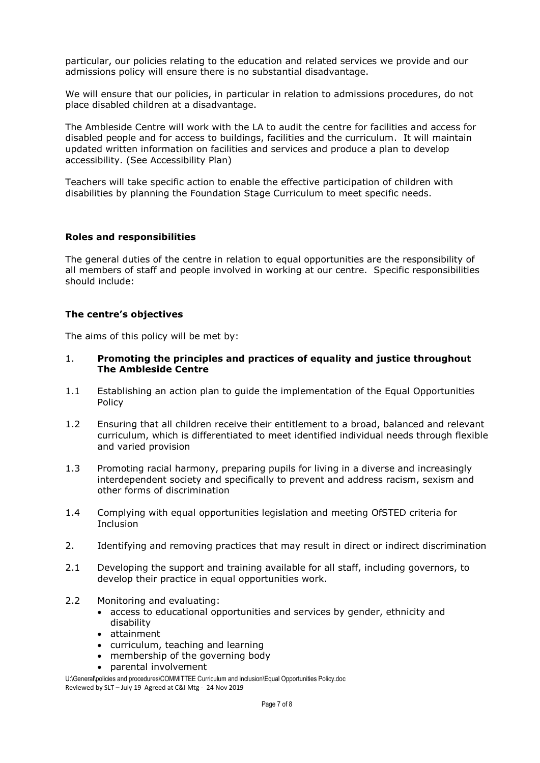particular, our policies relating to the education and related services we provide and our admissions policy will ensure there is no substantial disadvantage.

We will ensure that our policies, in particular in relation to admissions procedures, do not place disabled children at a disadvantage.

The Ambleside Centre will work with the LA to audit the centre for facilities and access for disabled people and for access to buildings, facilities and the curriculum. It will maintain updated written information on facilities and services and produce a plan to develop accessibility. (See Accessibility Plan)

Teachers will take specific action to enable the effective participation of children with disabilities by planning the Foundation Stage Curriculum to meet specific needs.

### **Roles and responsibilities**

The general duties of the centre in relation to equal opportunities are the responsibility of all members of staff and people involved in working at our centre. Specific responsibilities should include:

### **The centre's objectives**

The aims of this policy will be met by:

- 1. **Promoting the principles and practices of equality and justice throughout The Ambleside Centre**
- 1.1 Establishing an action plan to guide the implementation of the Equal Opportunities Policy
- 1.2 Ensuring that all children receive their entitlement to a broad, balanced and relevant curriculum, which is differentiated to meet identified individual needs through flexible and varied provision
- 1.3 Promoting racial harmony, preparing pupils for living in a diverse and increasingly interdependent society and specifically to prevent and address racism, sexism and other forms of discrimination
- 1.4 Complying with equal opportunities legislation and meeting OfSTED criteria for Inclusion
- 2. Identifying and removing practices that may result in direct or indirect discrimination
- 2.1 Developing the support and training available for all staff, including governors, to develop their practice in equal opportunities work.
- 2.2 Monitoring and evaluating:
	- access to educational opportunities and services by gender, ethnicity and disability
	- attainment
	- curriculum, teaching and learning
	- membership of the governing body
	- parental involvement

U:\General\policies and procedures\COMMITTEE Curriculum and inclusion\Equal Opportunities Policy.doc Reviewed by SLT – July 19 Agreed at C&I Mtg - 24 Nov 2019